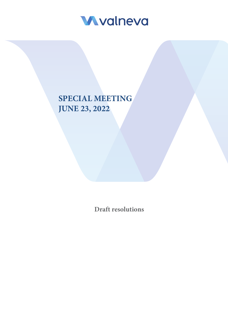

# **SPECIAL MEETING JUNE 23, 2022**

**Draft resolutions**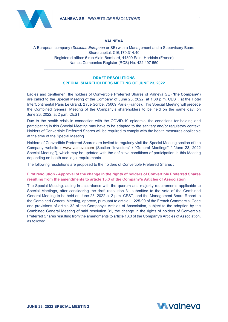



#### **VALNEVA**

A European company (*Societas Europaea* or SE) with a Management and a Supervisory Board Share capital: €16,170,314.40 Registered office: 6 rue Alain Bombard, 44800 Saint-Herblain (France) Nantes Companies Register (RCS) No. 422 497 560

## **DRAFT RESOLUTIONS SPECIAL SHAREHOLDERS MEETING OF JUNE 23, 2022**

\_\_\_\_\_\_\_\_\_\_\_\_\_\_\_\_\_\_\_\_\_\_\_\_\_\_\_\_\_\_\_\_\_\_\_\_\_\_\_\_\_\_\_\_\_\_\_\_\_\_\_\_\_\_\_\_\_\_\_\_\_\_\_\_\_\_

Ladies and gentlemen, the holders of Convertible Preferred Shares of Valneva SE ("**the Company**") are called to the Special Meeting of the Company of June 23, 2022, at 1:30 p.m. CEST, at the Hotel InterContinental Paris Le Grand, 2 rue Scribe, 75009 Paris (France). This Special Meeting will precede the Combined General Meeting of the Company's shareholders to be held on the same day, on June 23, 2022, at 2 p.m. CEST.

Due to the health crisis in connection with the COVID-19 epidemic, the conditions for holding and participating in this Special Meeting may have to be adapted to the sanitary and/or regulatory context. Holders of Convertible Preferred Shares will be required to comply with the health measures applicable at the time of the Special Meeting.

Holders of Convertible Preferred Shares are invited to regularly visit the Special Meeting section of the Company website : [www.valneva.com](http://www.valneva.com/) (Section "Investors" / "General Meetings" / "June 23, 2022 Special Meeting"), which may be updated with the definitive conditions of participation in this Meeting depending on heath and legal requirements.

The following resolutions are proposed to the holders of Convertible Preferred Shares :

## **First resolution - Approval of the change in the rights of holders of Convertible Preferred Shares resulting from the amendments to article 13.3 of the Company's Articles of Association**

The Special Meeting, acting in accordance with the quorum and majority requirements applicable to Special Meetings, after considering the draft resolution 31 submitted to the vote of the Combined General Meeting to be held on June 23, 2022 at 2 p.m. CEST, and the Management Board Report to the Combined General Meeting, approve, pursuant to article L. 225-99 of the French Commercial Code and provisions of article 32 of the Company's Articles of Association, subject to the adoption by the Combined General Meeting of said resolution 31, the change in the rights of holders of Convertible Preferred Shares resulting from the amendments to article 13.3 of the Company's Articles of Association, as follows:

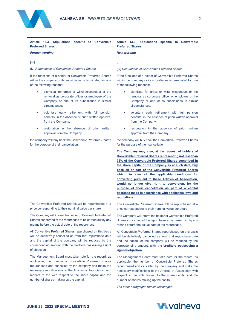

| Article 13.3. Stipulations specific to Convertible           | Article 13.3. Stipulations specific to Convertible                                                                                                                                                                                                                                                                                                                                                                                                                                                                                                                                           |
|--------------------------------------------------------------|----------------------------------------------------------------------------------------------------------------------------------------------------------------------------------------------------------------------------------------------------------------------------------------------------------------------------------------------------------------------------------------------------------------------------------------------------------------------------------------------------------------------------------------------------------------------------------------------|
| <b>Preferred Shares</b>                                      | <b>Preferred Shares.</b>                                                                                                                                                                                                                                                                                                                                                                                                                                                                                                                                                                     |
| <b>Former wording</b>                                        | <b>New wording</b>                                                                                                                                                                                                                                                                                                                                                                                                                                                                                                                                                                           |
| $[]$                                                         | $[]$                                                                                                                                                                                                                                                                                                                                                                                                                                                                                                                                                                                         |
| (iv) Repurchase of Convertible Preferred Shares              | (iv) Repurchase of Convertible Preferred Shares                                                                                                                                                                                                                                                                                                                                                                                                                                                                                                                                              |
| If the functions of a holder of Convertible Preferred Shares | If the functions of a holder of Convertible Preferred Shares                                                                                                                                                                                                                                                                                                                                                                                                                                                                                                                                 |
| within the company or its subsidiaries is terminated for one | within the company or its subsidiaries is terminated for one                                                                                                                                                                                                                                                                                                                                                                                                                                                                                                                                 |
| of the following reasons:                                    | of the following reasons:                                                                                                                                                                                                                                                                                                                                                                                                                                                                                                                                                                    |
| dismissal for gross or wilful misconduct or the              | dismissal for gross or wilful misconduct or the                                                                                                                                                                                                                                                                                                                                                                                                                                                                                                                                              |
| ٠                                                            | ٠                                                                                                                                                                                                                                                                                                                                                                                                                                                                                                                                                                                            |
| removal as corporate officer or employee of the              | removal as corporate officer or employee of the                                                                                                                                                                                                                                                                                                                                                                                                                                                                                                                                              |
| Company or one of its subsidiaries in similar                | Company or one of its subsidiaries in similar                                                                                                                                                                                                                                                                                                                                                                                                                                                                                                                                                |
| circumstances;                                               | circumstances;                                                                                                                                                                                                                                                                                                                                                                                                                                                                                                                                                                               |
| voluntary early retirement with full pension                 | voluntary early retirement with full pension                                                                                                                                                                                                                                                                                                                                                                                                                                                                                                                                                 |
| $\bullet$                                                    | ۰                                                                                                                                                                                                                                                                                                                                                                                                                                                                                                                                                                                            |
| benefits, in the absence of priori written approval          | benefits, in the absence of priori written approval                                                                                                                                                                                                                                                                                                                                                                                                                                                                                                                                          |
| from the Company;                                            | from the Company;                                                                                                                                                                                                                                                                                                                                                                                                                                                                                                                                                                            |
| resignation in the absence of priori written                 | resignation in the absence of priori written                                                                                                                                                                                                                                                                                                                                                                                                                                                                                                                                                 |
| ٠                                                            | ۰                                                                                                                                                                                                                                                                                                                                                                                                                                                                                                                                                                                            |
| approval from the Company,                                   | approval from the Company,                                                                                                                                                                                                                                                                                                                                                                                                                                                                                                                                                                   |
| the company will buy back the Convertible Preferred Shares   | the company will buy back the Convertible Preferred Shares                                                                                                                                                                                                                                                                                                                                                                                                                                                                                                                                   |
| for the purpose of their cancellation.                       | for the purpose of their cancellation.                                                                                                                                                                                                                                                                                                                                                                                                                                                                                                                                                       |
|                                                              | The Company may also, at the request of holders of<br><b>Convertible Preferred Shares representing not less than</b><br>75% of the Convertible Preferred Shares comprised in<br>the share capital of the Company as at such date, buy<br>back all or part of the Convertible Preferred Shares<br>which, in view of the applicable conditions for<br>converting pursuant to these Articles of Association.<br>would no longer give right to conversion, for the<br>purpose of their cancellation as part of a capital<br>decrease made in accordance with applicable laws and<br>regulations. |
| The Convertible Preferred Shares will be repurchased at a    | The Convertible Preferred Shares will be repurchased at a                                                                                                                                                                                                                                                                                                                                                                                                                                                                                                                                    |
| price corresponding to their nominal value per share.        | price corresponding to their nominal value per share.                                                                                                                                                                                                                                                                                                                                                                                                                                                                                                                                        |
| The Company will inform the holder of Convertible Preferred  | The Company will inform the holder of Convertible Preferred                                                                                                                                                                                                                                                                                                                                                                                                                                                                                                                                  |
| Shares concerned of the repurchase to be carried out by any  | Shares concerned of the repurchase to be carried out by any                                                                                                                                                                                                                                                                                                                                                                                                                                                                                                                                  |
| means before the actual date of the repurchase.              | means before the actual date of the repurchase.                                                                                                                                                                                                                                                                                                                                                                                                                                                                                                                                              |
| All Convertible Preferred Shares repurchased on this basis   | All Convertible Preferred Shares repurchased on this basis                                                                                                                                                                                                                                                                                                                                                                                                                                                                                                                                   |
| will be definitively cancelled as from that repurchase date  | will be definitively cancelled as from that repurchase date                                                                                                                                                                                                                                                                                                                                                                                                                                                                                                                                  |
| and the capital of the company will be reduced by the        | and the capital of the company will be reduced by the                                                                                                                                                                                                                                                                                                                                                                                                                                                                                                                                        |
| corresponding amount, with the creditors possessing a right  | corresponding amount, with the creditors possessing a                                                                                                                                                                                                                                                                                                                                                                                                                                                                                                                                        |
| of objection.                                                | right of objection.                                                                                                                                                                                                                                                                                                                                                                                                                                                                                                                                                                          |
| The Management Board must take note for the record, as       | The Management Board must take note for the record, as                                                                                                                                                                                                                                                                                                                                                                                                                                                                                                                                       |
| applicable, the number of Convertible Preferred Shares       | applicable, the number of Convertible Preferred Shares                                                                                                                                                                                                                                                                                                                                                                                                                                                                                                                                       |
| repurchased and cancelled by the company and make the        | repurchased and cancelled by the company and make the                                                                                                                                                                                                                                                                                                                                                                                                                                                                                                                                        |
| necessary modifications to the Articles of Association with  | necessary modifications to the Articles of Association with                                                                                                                                                                                                                                                                                                                                                                                                                                                                                                                                  |
| respect to the with respect to the share capital and the     | respect to the with respect to the share capital and the                                                                                                                                                                                                                                                                                                                                                                                                                                                                                                                                     |
| number of shares making up the capital.                      | number of shares making up the capital.                                                                                                                                                                                                                                                                                                                                                                                                                                                                                                                                                      |
|                                                              | The other paragraphs remain unchanged.                                                                                                                                                                                                                                                                                                                                                                                                                                                                                                                                                       |